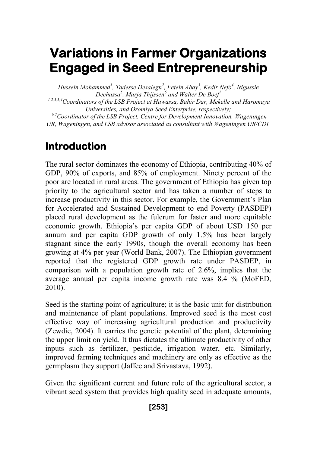# **Variations in Farmer Organizations Engaged in Seed Entrepreneurship**

*Hussein Mohammed<sup>1</sup> , Tadesse Desalegn<sup>2</sup> , Fetein Abay<sup>3</sup> , Kedir Nefo<sup>4</sup> , Nigussie Dechassa<sup>5</sup> , Marja Thijssen<sup>6</sup> and Walter De Boef<sup>7</sup>*

*1,2,3,5,4Coordinators of the LSB Project at Hawassa, Bahir Dar, Mekelle and Haromaya Universities, and Oromiya Seed Enterprise, respectively;*

*6,7Coordinator of the LSB Project, Centre for Development Innovation, Wageningen UR, Wageningen, and LSB advisor associated as consultant with Wageningen UR/CDI.*

# **Introduction**

The rural sector dominates the economy of Ethiopia, contributing 40% of GDP, 90% of exports, and 85% of employment. Ninety percent of the poor are located in rural areas. The government of Ethiopia has given top priority to the agricultural sector and has taken a number of steps to increase productivity in this sector. For example, the Government's Plan for Accelerated and Sustained Development to end Poverty (PASDEP) placed rural development as the fulcrum for faster and more equitable economic growth. Ethiopia's per capita GDP of about USD 150 per annum and per capita GDP growth of only 1.5% has been largely stagnant since the early 1990s, though the overall economy has been growing at 4% per year (World Bank, 2007). The Ethiopian government reported that the registered GDP growth rate under PASDEP, in comparison with a population growth rate of 2.6%, implies that the average annual per capita income growth rate was 8.4 % (MoFED, 2010).

Seed is the starting point of agriculture; it is the basic unit for distribution and maintenance of plant populations. Improved seed is the most cost effective way of increasing agricultural production and productivity (Zewdie, 2004). It carries the genetic potential of the plant, determining the upper limit on yield. It thus dictates the ultimate productivity of other inputs such as fertilizer, pesticide, irrigation water, etc. Similarly, improved farming techniques and machinery are only as effective as the germplasm they support (Jaffee and Srivastava, 1992).

Given the significant current and future role of the agricultural sector, a vibrant seed system that provides high quality seed in adequate amounts,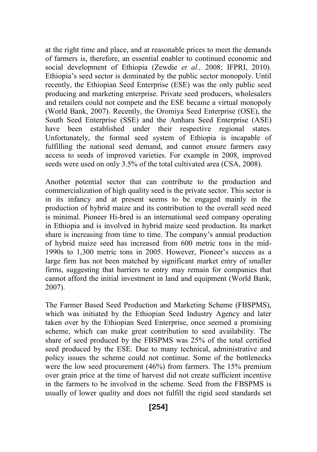at the right time and place, and at reasonable prices to meet the demands of farmers is, therefore, an essential enabler to continued economic and social development of Ethiopia (Zewdie *et al.,* 2008; IFPRI, 2010). Ethiopia's seed sector is dominated by the public sector monopoly. Until recently, the Ethiopian Seed Enterprise (ESE) was the only public seed producing and marketing enterprise. Private seed producers, wholesalers and retailers could not compete and the ESE became a virtual monopoly (World Bank, 2007). Recently, the Oromiya Seed Enterprise (OSE), the South Seed Enterprise (SSE) and the Amhara Seed Enterprise (ASE) have been established under their respective regional states. Unfortunately, the formal seed system of Ethiopia is incapable of fulfilling the national seed demand, and cannot ensure farmers easy access to seeds of improved varieties. For example in 2008, improved seeds were used on only 3.5% of the total cultivated area (CSA, 2008).

Another potential sector that can contribute to the production and commercialization of high quality seed is the private sector. This sector is in its infancy and at present seems to be engaged mainly in the production of hybrid maize and its contribution to the overall seed need is minimal. Pioneer Hi-bred is an international seed company operating in Ethiopia and is involved in hybrid maize seed production. Its market share is increasing from time to time. The company's annual production of hybrid maize seed has increased from 600 metric tons in the mid-1990s to 1,300 metric tons in 2005. However, Pioneer's success as a large firm has not been matched by significant market entry of smaller firms, suggesting that barriers to entry may remain for companies that cannot afford the initial investment in land and equipment (World Bank, 2007).

The Farmer Based Seed Production and Marketing Scheme (FBSPMS), which was initiated by the Ethiopian Seed Industry Agency and later taken over by the Ethiopian Seed Enterprise, once seemed a promising scheme, which can make great contribution to seed availability. The share of seed produced by the FBSPMS was 25% of the total certified seed produced by the ESE. Due to many technical, administrative and policy issues the scheme could not continue. Some of the bottlenecks were the low seed procurement (46%) from farmers. The 15% premium over grain price at the time of harvest did not create sufficient incentive in the farmers to be involved in the scheme. Seed from the FBSPMS is usually of lower quality and does not fulfill the rigid seed standards set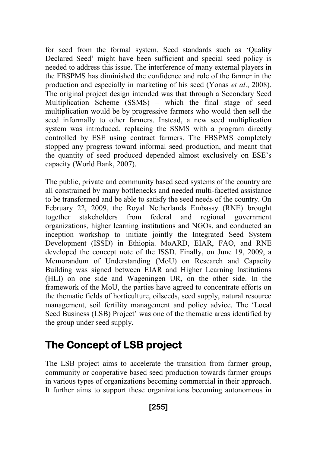for seed from the formal system. Seed standards such as 'Quality Declared Seed' might have been sufficient and special seed policy is needed to address this issue. The interference of many external players in the FBSPMS has diminished the confidence and role of the farmer in the production and especially in marketing of his seed (Yonas *et al*., 2008). The original project design intended was that through a Secondary Seed Multiplication Scheme (SSMS) – which the final stage of seed multiplication would be by progressive farmers who would then sell the seed informally to other farmers. Instead, a new seed multiplication system was introduced, replacing the SSMS with a program directly controlled by ESE using contract farmers. The FBSPMS completely stopped any progress toward informal seed production, and meant that the quantity of seed produced depended almost exclusively on ESE's capacity (World Bank, 2007).

The public, private and community based seed systems of the country are all constrained by many bottlenecks and needed multi-facetted assistance to be transformed and be able to satisfy the seed needs of the country. On February 22, 2009, the Royal Netherlands Embassy (RNE) brought together stakeholders from federal and regional government organizations, higher learning institutions and NGOs, and conducted an inception workshop to initiate jointly the Integrated Seed System Development (ISSD) in Ethiopia. MoARD, EIAR, FAO, and RNE developed the concept note of the ISSD. Finally, on June 19, 2009, a Memorandum of Understanding (MoU) on Research and Capacity Building was signed between EIAR and Higher Learning Institutions (HLI) on one side and Wageningen UR, on the other side. In the framework of the MoU, the parties have agreed to concentrate efforts on the thematic fields of horticulture, oilseeds, seed supply, natural resource management, soil fertility management and policy advice. The 'Local Seed Business (LSB) Project' was one of the thematic areas identified by the group under seed supply.

# **The Concept of LSB project**

The LSB project aims to accelerate the transition from farmer group, community or cooperative based seed production towards farmer groups in various types of organizations becoming commercial in their approach. It further aims to support these organizations becoming autonomous in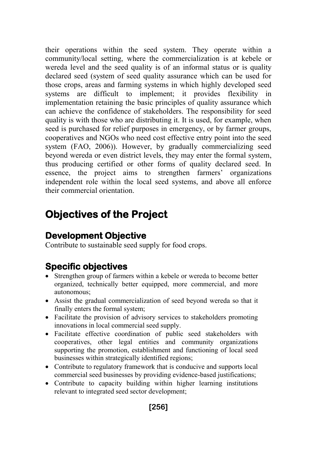their operations within the seed system. They operate within a community/local setting, where the commercialization is at kebele or wereda level and the seed quality is of an informal status or is quality declared seed (system of seed quality assurance which can be used for those crops, areas and farming systems in which highly developed seed systems are difficult to implement; it provides flexibility in implementation retaining the basic principles of quality assurance which can achieve the confidence of stakeholders. The responsibility for seed quality is with those who are distributing it. It is used, for example, when seed is purchased for relief purposes in emergency, or by farmer groups, cooperatives and NGOs who need cost effective entry point into the seed system (FAO, 2006)). However, by gradually commercializing seed beyond wereda or even district levels, they may enter the formal system, thus producing certified or other forms of quality declared seed. In essence, the project aims to strengthen farmers' organizations independent role within the local seed systems, and above all enforce their commercial orientation.

# **Objectives of the Project**

## **Development Objective**

Contribute to sustainable seed supply for food crops.

## **Specific objectives**

- Strengthen group of farmers within a kebele or wereda to become better organized, technically better equipped, more commercial, and more autonomous;
- Assist the gradual commercialization of seed beyond wereda so that it finally enters the formal system;
- Facilitate the provision of advisory services to stakeholders promoting innovations in local commercial seed supply.
- Facilitate effective coordination of public seed stakeholders with cooperatives, other legal entities and community organizations supporting the promotion, establishment and functioning of local seed businesses within strategically identified regions;
- Contribute to regulatory framework that is conducive and supports local commercial seed businesses by providing evidence-based justifications;
- Contribute to capacity building within higher learning institutions relevant to integrated seed sector development;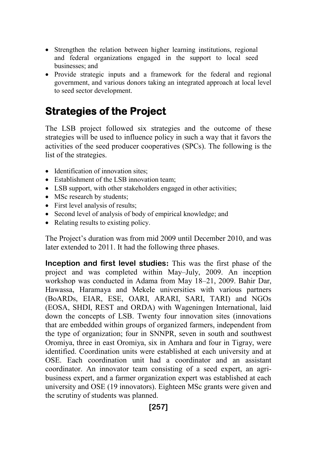- Strengthen the relation between higher learning institutions, regional and federal organizations engaged in the support to local seed businesses; and
- Provide strategic inputs and a framework for the federal and regional government, and various donors taking an integrated approach at local level to seed sector development.

# **Strategies of the Project**

The LSB project followed six strategies and the outcome of these strategies will be used to influence policy in such a way that it favors the activities of the seed producer cooperatives (SPCs). The following is the list of the strategies.

- Identification of innovation sites;
- Establishment of the LSB innovation team:
- LSB support, with other stakeholders engaged in other activities;
- MSc research by students;
- First level analysis of results;
- Second level of analysis of body of empirical knowledge; and
- Relating results to existing policy.

The Project's duration was from mid 2009 until December 2010, and was later extended to 2011. It had the following three phases.

**Inception and first level studies:** This was the first phase of the project and was completed within May–July, 2009. An inception workshop was conducted in Adama from May 18–21, 2009. Bahir Dar, Hawassa, Haramaya and Mekele universities with various partners (BoARDs, EIAR, ESE, OARI, ARARI, SARI, TARI) and NGOs (EOSA, SHDI, REST and ORDA) with Wageningen International, laid down the concepts of LSB. Twenty four innovation sites (innovations that are embedded within groups of organized farmers, independent from the type of organization; four in SNNPR, seven in south and southwest Oromiya, three in east Oromiya, six in Amhara and four in Tigray, were identified. Coordination units were established at each university and at OSE. Each coordination unit had a coordinator and an assistant coordinator. An innovator team consisting of a seed expert, an agribusiness expert, and a farmer organization expert was established at each university and OSE (19 innovators). Eighteen MSc grants were given and the scrutiny of students was planned.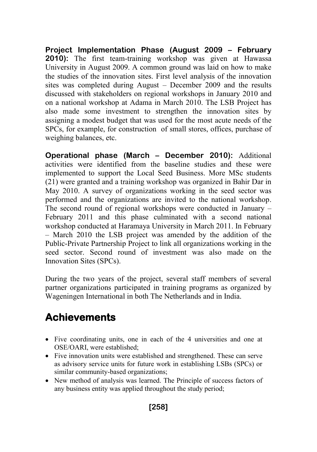**Project Implementation Phase (August 2009 – February 2010):** The first team-training workshop was given at Hawassa University in August 2009. A common ground was laid on how to make the studies of the innovation sites. First level analysis of the innovation sites was completed during August – December 2009 and the results discussed with stakeholders on regional workshops in January 2010 and on a national workshop at Adama in March 2010. The LSB Project has also made some investment to strengthen the innovation sites by assigning a modest budget that was used for the most acute needs of the SPCs, for example, for construction of small stores, offices, purchase of weighing balances, etc.

**Operational phase (March – December 2010):** Additional activities were identified from the baseline studies and these were implemented to support the Local Seed Business. More MSc students (21) were granted and a training workshop was organized in Bahir Dar in May 2010. A survey of organizations working in the seed sector was performed and the organizations are invited to the national workshop. The second round of regional workshops were conducted in January – February 2011 and this phase culminated with a second national workshop conducted at Haramaya University in March 2011. In February – March 2010 the LSB project was amended by the addition of the Public-Private Partnership Project to link all organizations working in the seed sector. Second round of investment was also made on the Innovation Sites (SPCs).

During the two years of the project, several staff members of several partner organizations participated in training programs as organized by Wageningen International in both The Netherlands and in India.

# **Achievements**

- Five coordinating units, one in each of the 4 universities and one at OSE/OARI, were established;
- Five innovation units were established and strengthened. These can serve as advisory service units for future work in establishing LSBs (SPCs) or similar community-based organizations;
- New method of analysis was learned. The Principle of success factors of any business entity was applied throughout the study period;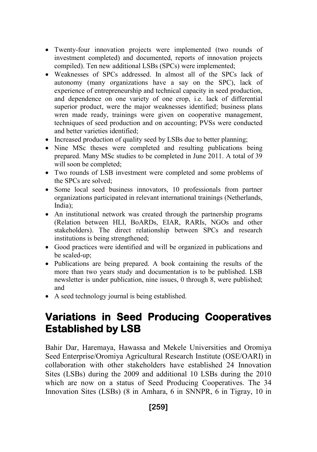- Twenty-four innovation projects were implemented (two rounds of investment completed) and documented, reports of innovation projects compiled). Ten new additional LSBs (SPCs) were implemented;
- Weaknesses of SPCs addressed. In almost all of the SPCs lack of autonomy (many organizations have a say on the SPC), lack of experience of entrepreneurship and technical capacity in seed production, and dependence on one variety of one crop, i.e. lack of differential superior product, were the major weaknesses identified; business plans wren made ready, trainings were given on cooperative management, techniques of seed production and on accounting; PVSs were conducted and better varieties identified;
- Increased production of quality seed by LSBs due to better planning;
- Nine MSc theses were completed and resulting publications being prepared. Many MSc studies to be completed in June 2011. A total of 39 will soon be completed;
- Two rounds of LSB investment were completed and some problems of the SPCs are solved;
- Some local seed business innovators, 10 professionals from partner organizations participated in relevant international trainings (Netherlands, India);
- An institutional network was created through the partnership programs (Relation between HLI, BoARDs, EIAR, RARIs, NGOs and other stakeholders). The direct relationship between SPCs and research institutions is being strengthened;
- Good practices were identified and will be organized in publications and be scaled-up;
- Publications are being prepared. A book containing the results of the more than two years study and documentation is to be published. LSB newsletter is under publication, nine issues, 0 through 8, were published; and
- A seed technology journal is being established.

# **Variations in Seed Producing Cooperatives Established by LSB**

Bahir Dar, Haremaya, Hawassa and Mekele Universities and Oromiya Seed Enterprise/Oromiya Agricultural Research Institute (OSE/OARI) in collaboration with other stakeholders have established 24 Innovation Sites (LSBs) during the 2009 and additional 10 LSBs during the 2010 which are now on a status of Seed Producing Cooperatives. The 34 Innovation Sites (LSBs) (8 in Amhara, 6 in SNNPR, 6 in Tigray, 10 in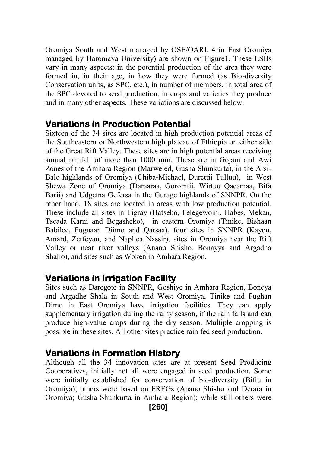Oromiya South and West managed by OSE/OARI, 4 in East Oromiya managed by Haromaya University) are shown on Figure1. These LSBs vary in many aspects: in the potential production of the area they were formed in, in their age, in how they were formed (as Bio-diversity Conservation units, as SPC, etc.), in number of members, in total area of the SPC devoted to seed production, in crops and varieties they produce and in many other aspects. These variations are discussed below.

#### **Variations in Production Potential**

Sixteen of the 34 sites are located in high production potential areas of the Southeastern or Northwestern high plateau of Ethiopia on either side of the Great Rift Valley. These sites are in high potential areas receiving annual rainfall of more than 1000 mm. These are in Gojam and Awi Zones of the Amhara Region (Marweled, Gusha Shunkurta), in the Arsi-Bale highlands of Oromiya (Chiba-Michael, Durettii Tulluu), in West Shewa Zone of Oromiya (Daraaraa, Goromtii, Wirtuu Qacamaa, Bifa Barii) and Udgetna Gefersa in the Gurage highlands of SNNPR. On the other hand, 18 sites are located in areas with low production potential. These include all sites in Tigray (Hatsebo, Felegewoini, Habes, Mekan, Tseada Karni and Begasheko), in eastern Oromiya (Tinike, Bishaan Babilee, Fugnaan Diimo and Qarsaa), four sites in SNNPR (Kayou, Amard, Zerfeyan, and Naplica Nassir), sites in Oromiya near the Rift Valley or near river valleys (Anano Shisho, Bonayya and Argadha Shallo), and sites such as Woken in Amhara Region.

#### **Variations in Irrigation Facility**

Sites such as Daregote in SNNPR, Goshiye in Amhara Region, Boneya and Argadhe Shala in South and West Oromiya, Tinike and Fughan Dimo in East Oromiya have irrigation facilities. They can apply supplementary irrigation during the rainy season, if the rain fails and can produce high-value crops during the dry season. Multiple cropping is possible in these sites. All other sites practice rain fed seed production.

### **Variations in Formation History**

Although all the 34 innovation sites are at present Seed Producing Cooperatives, initially not all were engaged in seed production. Some were initially established for conservation of bio-diversity (Biftu in Oromiya); others were based on FREGs (Anano Shisho and Derara in Oromiya; Gusha Shunkurta in Amhara Region); while still others were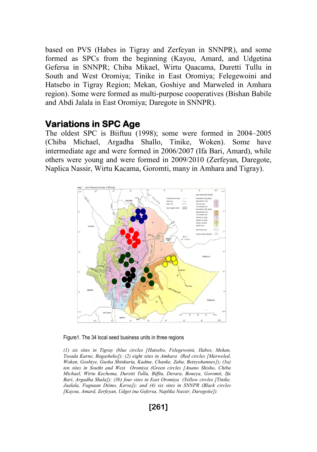based on PVS (Habes in Tigray and Zerfeyan in SNNPR), and some formed as SPCs from the beginning (Kayou, Amard, and Udgetina Gefersa in SNNPR; Chiba Mikael, Wirtu Qaacama, Duretti Tullu in South and West Oromiya; Tinike in East Oromiya; Felegewoini and Hatsebo in Tigray Region; Mekan, Goshiye and Marweled in Amhara region). Some were formed as multi-purpose cooperatives (Bishan Babile and Abdi Jalala in East Oromiya; Daregote in SNNPR).

#### **Variations in SPC Age**

The oldest SPC is Biiftuu (1998); some were formed in 2004–2005 (Chiba Michael, Argadha Shallo, Tinike, Woken). Some have intermediate age and were formed in 2006/2007 (Ifa Bari, Amard), while others were young and were formed in 2009/2010 (Zerfeyan, Daregote, Naplica Nassir, Wirtu Kacama, Goromti, many in Amhara and Tigray).



Figure1. The 34 local seed business units in three regions

*(1) six sites in Tigray (blue circles [Hatsebo, Felegewoini, Habes, Mekan, Tseada Karne, Begasheko]); (2) eight sites in Amhara (Red circles [Marweled, Woken, Goshiye, Gusha Shinkurta, Kadme, Chanke, Zaba, Beteyohannes]); (3a) ten sites in Southt and West Oromiya (Green circles [Anano Shisho, Chiba Michael, Wirtu Kechema, Duretti Tullu, Bifftu, Derara, Boneya, Goromti, Ifa Bari, Argadha Shala]); (3b) four sites in East Oromiya (Yellow circles [Tinike, Jaalala, Fugnaan Diimo, Kersa]); and (4) six sites in SNNPR (Black circles [Kayou, Amard, Zerfeyan, Udget ina Gefersa, Naplika Nassir, Daregotie]).*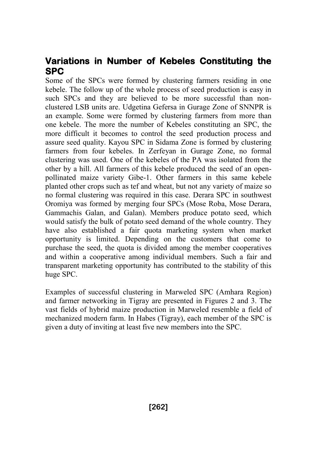### **Variations in Number of Kebeles Constituting the SPC**

Some of the SPCs were formed by clustering farmers residing in one kebele. The follow up of the whole process of seed production is easy in such SPCs and they are believed to be more successful than nonclustered LSB units are. Udgetina Gefersa in Gurage Zone of SNNPR is an example. Some were formed by clustering farmers from more than one kebele. The more the number of Kebeles constituting an SPC, the more difficult it becomes to control the seed production process and assure seed quality. Kayou SPC in Sidama Zone is formed by clustering farmers from four kebeles. In Zerfeyan in Gurage Zone, no formal clustering was used. One of the kebeles of the PA was isolated from the other by a hill. All farmers of this kebele produced the seed of an openpollinated maize variety Gibe-1. Other farmers in this same kebele planted other crops such as tef and wheat, but not any variety of maize so no formal clustering was required in this case. Derara SPC in southwest Oromiya was formed by merging four SPCs (Mose Roba, Mose Derara, Gammachis Galan, and Galan). Members produce potato seed, which would satisfy the bulk of potato seed demand of the whole country. They have also established a fair quota marketing system when market opportunity is limited. Depending on the customers that come to purchase the seed, the quota is divided among the member cooperatives and within a cooperative among individual members. Such a fair and transparent marketing opportunity has contributed to the stability of this huge SPC.

Examples of successful clustering in Marweled SPC (Amhara Region) and farmer networking in Tigray are presented in Figures 2 and 3. The vast fields of hybrid maize production in Marweled resemble a field of mechanized modern farm. In Habes (Tigray), each member of the SPC is given a duty of inviting at least five new members into the SPC.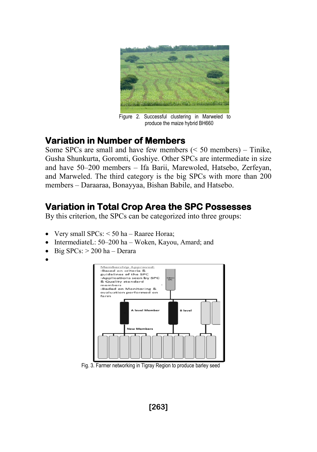

Figure 2. Successful clustering in Marweled to produce the maize hybrid BH660

### **Variation in Number of Members**

Some SPCs are small and have few members  $(< 50$  members) – Tinike, Gusha Shunkurta, Goromti, Goshiye. Other SPCs are intermediate in size and have 50–200 members – Ifa Barii, Marewoled, Hatsebo, Zerfeyan, and Marweled. The third category is the big SPCs with more than 200 members – Daraaraa, Bonayyaa, Bishan Babile, and Hatsebo.

## **Variation in Total Crop Area the SPC Possesses**

By this criterion, the SPCs can be categorized into three groups:

- Very small  $SPCs$ :  $\leq$  50 ha Raaree Horaa;
- IntermediateL: 50–200 ha Woken, Kayou, Amard; and
- $\bullet$  Big SPCs:  $> 200$  ha Derara
- $\bullet$



Fig. 3. Farmer networking in Tigray Region to produce barley seed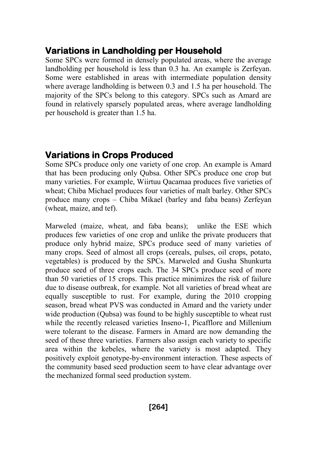## **Variations in Landholding per Household**

Some SPCs were formed in densely populated areas, where the average landholding per household is less than 0.3 ha. An example is Zerfeyan. Some were established in areas with intermediate population density where average landholding is between 0.3 and 1.5 ha per household. The majority of the SPCs belong to this category. SPCs such as Amard are found in relatively sparsely populated areas, where average landholding per household is greater than 1.5 ha.

## **Variations in Crops Produced**

Some SPCs produce only one variety of one crop. An example is Amard that has been producing only Qubsa. Other SPCs produce one crop but many varieties. For example, Wiirtuu Qacamaa produces five varieties of wheat; Chiba Michael produces four varieties of malt barley. Other SPCs produce many crops – Chiba Mikael (barley and faba beans) Zerfeyan (wheat, maize, and tef).

Marweled (maize, wheat, and faba beans); unlike the ESE which produces few varieties of one crop and unlike the private producers that produce only hybrid maize, SPCs produce seed of many varieties of many crops. Seed of almost all crops (cereals, pulses, oil crops, potato, vegetables) is produced by the SPCs. Marweled and Gusha Shunkurta produce seed of three crops each. The 34 SPCs produce seed of more than 50 varieties of 15 crops. This practice minimizes the risk of failure due to disease outbreak, for example. Not all varieties of bread wheat are equally susceptible to rust. For example, during the 2010 cropping season, bread wheat PVS was conducted in Amard and the variety under wide production (Qubsa) was found to be highly susceptible to wheat rust while the recently released varieties Inseno-1, Picafflore and Millenium were tolerant to the disease. Farmers in Amard are now demanding the seed of these three varieties. Farmers also assign each variety to specific area within the kebeles, where the variety is most adapted. They positively exploit genotype-by-environment interaction. These aspects of the community based seed production seem to have clear advantage over the mechanized formal seed production system.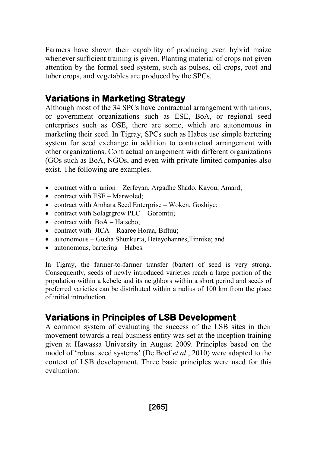Farmers have shown their capability of producing even hybrid maize whenever sufficient training is given. Planting material of crops not given attention by the formal seed system, such as pulses, oil crops, root and tuber crops, and vegetables are produced by the SPCs.

## **Variations in Marketing Strategy**

Although most of the 34 SPCs have contractual arrangement with unions, or government organizations such as ESE, BoA, or regional seed enterprises such as OSE, there are some, which are autonomous in marketing their seed. In Tigray, SPCs such as Habes use simple bartering system for seed exchange in addition to contractual arrangement with other organizations. Contractual arrangement with different organizations (GOs such as BoA, NGOs, and even with private limited companies also exist. The following are examples.

- contract with a union Zerfeyan, Argadhe Shado, Kayou, Amard;
- contract with ESE Marwoled:
- contract with Amhara Seed Enterprise Woken, Goshiye;
- contract with Solagrgrow PLC Goromtii;
- contract with  $BoA Hatsebo;$
- contract with JICA Raaree Horaa, Biftuu;
- autonomous Gusha Shunkurta, Beteyohannes,Tinnike; and
- autonomous, bartering Habes.

In Tigray, the farmer-to-farmer transfer (barter) of seed is very strong. Consequently, seeds of newly introduced varieties reach a large portion of the population within a kebele and its neighbors within a short period and seeds of preferred varieties can be distributed within a radius of 100 km from the place of initial introduction.

## **Variations in Principles of LSB Development**

A common system of evaluating the success of the LSB sites in their movement towards a real business entity was set at the inception training given at Hawassa University in August 2009. Principles based on the model of 'robust seed systems' (De Boef *et al*., 2010) were adapted to the context of LSB development. Three basic principles were used for this evaluation: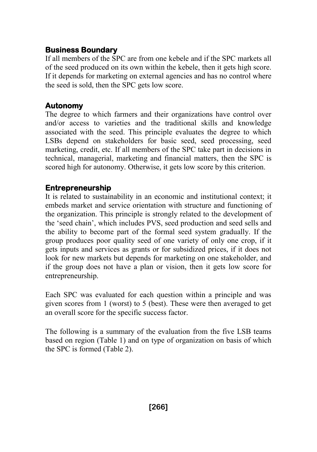#### **Business Boundary**

If all members of the SPC are from one kebele and if the SPC markets all of the seed produced on its own within the kebele, then it gets high score. If it depends for marketing on external agencies and has no control where the seed is sold, then the SPC gets low score.

#### **Autonomy**

The degree to which farmers and their organizations have control over and/or access to varieties and the traditional skills and knowledge associated with the seed. This principle evaluates the degree to which LSBs depend on stakeholders for basic seed, seed processing, seed marketing, credit, etc. If all members of the SPC take part in decisions in technical, managerial, marketing and financial matters, then the SPC is scored high for autonomy. Otherwise, it gets low score by this criterion.

#### **Entrepreneurship**

It is related to sustainability in an economic and institutional context; it embeds market and service orientation with structure and functioning of the organization. This principle is strongly related to the development of the 'seed chain', which includes PVS, seed production and seed sells and the ability to become part of the formal seed system gradually. If the group produces poor quality seed of one variety of only one crop, if it gets inputs and services as grants or for subsidized prices, if it does not look for new markets but depends for marketing on one stakeholder, and if the group does not have a plan or vision, then it gets low score for entrepreneurship.

Each SPC was evaluated for each question within a principle and was given scores from 1 (worst) to 5 (best). These were then averaged to get an overall score for the specific success factor.

The following is a summary of the evaluation from the five LSB teams based on region (Table 1) and on type of organization on basis of which the SPC is formed (Table 2).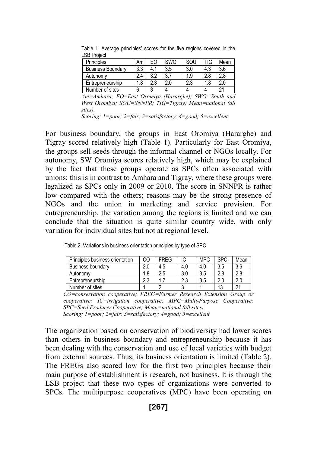| דיסווי ו חר                                                                                              |     |     |     |     |     |      |  |
|----------------------------------------------------------------------------------------------------------|-----|-----|-----|-----|-----|------|--|
| Principles                                                                                               | Αm  | FΟ  | SWO | SOL | TIG | Mean |  |
| <b>Business Boundary</b>                                                                                 | 3.3 | 4.  | 3.5 | 3.0 | 4.3 | 3.6  |  |
| Autonomy                                                                                                 | 24  | 3.2 | 3.7 | 1.9 | 2.8 | 2.8  |  |
| Entrepreneurship                                                                                         | 1.8 | 2.3 | 2.0 | 2.3 | 1.8 | 2.0  |  |
| Number of sites                                                                                          |     |     |     |     |     | 21   |  |
| $\sqrt{t}$<br>CITI <sub>D</sub><br>$\Gamma$<br>$\mathbf{r}$<br>$\sim$<br>$\sim$ $\sim$<br>$\overline{ }$ |     |     |     |     |     |      |  |

Table 1. Average principles' scores for the five regions covered in the LSB Project

*Am=Amhara; EO=East Oromiya (Hararghe); SWO: South and West Oromiya; SOU=SNNPR; TIG=Tigray; Mean=national (all sites).* 

*Scoring: 1=poor; 2=fair; 3=satisfactory; 4=good; 5=excellent.*

For business boundary, the groups in East Oromiya (Hararghe) and Tigray scored relatively high (Table 1). Particularly for East Oromiya, the groups sell seeds through the informal channel or NGOs locally. For autonomy, SW Oromiya scores relatively high, which may be explained by the fact that these groups operate as SPCs often associated with unions; this is in contrast to Amhara and Tigray, where these groups were legalized as SPCs only in 2009 or 2010. The score in SNNPR is rather low compared with the others; reasons may be the strong presence of NGOs and the union in marketing and service provision. For entrepreneurship, the variation among the regions is limited and we can conclude that the situation is quite similar country wide, with only variation for individual sites but not at regional level.

|  |  |  |  |  | Table 2. Variations in business orientation principles by type of SPC |
|--|--|--|--|--|-----------------------------------------------------------------------|
|--|--|--|--|--|-----------------------------------------------------------------------|

| Principles business orientation | CO  | <b>FRFG</b> | IC  | <b>MPC</b> | <b>SPC</b> | Mean       |
|---------------------------------|-----|-------------|-----|------------|------------|------------|
| <b>Business boundary</b>        | 2.0 | 4.5         | 4.0 | 4.0        | 3.5        | 3.6        |
| Autonomy                        | 1.8 | 2.5         | 3.0 | 3.5        | 2.8        | 2.8        |
| Entrepreneurship                | າາ  |             | 2.3 | 3.5        | 2.0        | 2.0        |
| Number of sites                 |     |             |     |            | 13         | $^{\circ}$ |

*CO=conservation cooperative; FREG=Farmer Research Extension Group or cooperative; IC=irrigation cooperative; MPC=Multi-Purpose Cooperative; SPC=Seed Producer Cooperative; Mean=national (all sites) Scoring: 1=poor; 2=fair; 3=satisfactory; 4=good; 5=excellent*

The organization based on conservation of biodiversity had lower scores than others in business boundary and entrepreneurship because it has been dealing with the conservation and use of local varieties with budget from external sources. Thus, its business orientation is limited (Table 2). The FREGs also scored low for the first two principles because their main purpose of establishment is research, not business. It is through the LSB project that these two types of organizations were converted to SPCs. The multipurpose cooperatives (MPC) have been operating on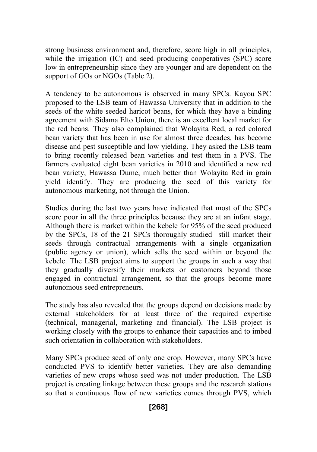strong business environment and, therefore, score high in all principles, while the irrigation (IC) and seed producing cooperatives (SPC) score low in entrepreneurship since they are younger and are dependent on the support of GOs or NGOs (Table 2).

A tendency to be autonomous is observed in many SPCs. Kayou SPC proposed to the LSB team of Hawassa University that in addition to the seeds of the white seeded haricot beans, for which they have a binding agreement with Sidama Elto Union, there is an excellent local market for the red beans. They also complained that Wolayita Red, a red colored bean variety that has been in use for almost three decades, has become disease and pest susceptible and low yielding. They asked the LSB team to bring recently released bean varieties and test them in a PVS. The farmers evaluated eight bean varieties in 2010 and identified a new red bean variety, Hawassa Dume, much better than Wolayita Red in grain yield identify. They are producing the seed of this variety for autonomous marketing, not through the Union.

Studies during the last two years have indicated that most of the SPCs score poor in all the three principles because they are at an infant stage. Although there is market within the kebele for 95% of the seed produced by the SPCs, 18 of the 21 SPCs thoroughly studied still market their seeds through contractual arrangements with a single organization (public agency or union), which sells the seed within or beyond the kebele. The LSB project aims to support the groups in such a way that they gradually diversify their markets or customers beyond those engaged in contractual arrangement, so that the groups become more autonomous seed entrepreneurs.

The study has also revealed that the groups depend on decisions made by external stakeholders for at least three of the required expertise (technical, managerial, marketing and financial). The LSB project is working closely with the groups to enhance their capacities and to imbed such orientation in collaboration with stakeholders.

Many SPCs produce seed of only one crop. However, many SPCs have conducted PVS to identify better varieties. They are also demanding varieties of new crops whose seed was not under production. The LSB project is creating linkage between these groups and the research stations so that a continuous flow of new varieties comes through PVS, which